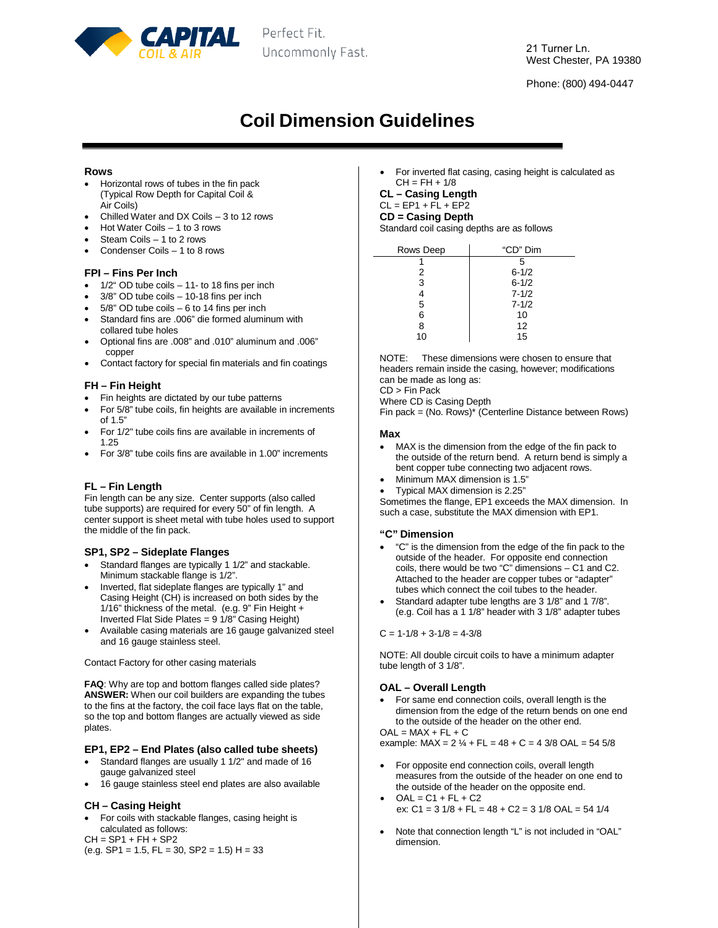

Perfect Fit. Uncommonly Fast.

Phone: (800) 494-0447

# **Coil Dimension Guidelines**

### **Rows**

- Horizontal rows of tubes in the fin pack (Typical Row Depth for Capital Coil & Air Coils)
- Chilled Water and DX Coils 3 to 12 rows
- Hot Water Coils 1 to 3 rows
- Steam Coils 1 to 2 rows
- Condenser Coils 1 to 8 rows

#### **FPI – Fins Per Inch**

- 1/2" OD tube coils 11- to 18 fins per inch
- 3/8" OD tube coils 10-18 fins per inch
- $5/8$ " OD tube coils  $-6$  to 14 fins per inch
- Standard fins are .006" die formed aluminum with collared tube holes
- Optional fins are .008" and .010" aluminum and .006" copper
- Contact factory for special fin materials and fin coatings

#### **FH – Fin Height**

- Fin heights are dictated by our tube patterns
- For 5/8" tube coils, fin heights are available in increments of 1.5"
- For 1/2" tube coils fins are available in increments of 1.25
- For 3/8" tube coils fins are available in 1.00" increments

# **FL – Fin Length**

Fin length can be any size. Center supports (also called tube supports) are required for every 50" of fin length. A center support is sheet metal with tube holes used to support the middle of the fin pack.

# **SP1, SP2 – Sideplate Flanges**

- Standard flanges are typically 1 1/2" and stackable. Minimum stackable flange is 1/2".
- Inverted, flat sideplate flanges are typically 1" and Casing Height (CH) is increased on both sides by the 1/16" thickness of the metal. (e.g. 9" Fin Height + Inverted Flat Side Plates =  $9\frac{1}{8}$  Casing Height)
- Available casing materials are 16 gauge galvanized steel and 16 gauge stainless steel.

Contact Factory for other casing materials

**FAQ**: Why are top and bottom flanges called side plates? **ANSWER:** When our coil builders are expanding the tubes to the fins at the factory, the coil face lays flat on the table, so the top and bottom flanges are actually viewed as side plates.

# **EP1, EP2 – End Plates (also called tube sheets)**

- Standard flanges are usually 1 1/2" and made of 16 gauge galvanized steel
- 16 gauge stainless steel end plates are also available

# **CH – Casing Height**

• For coils with stackable flanges, casing height is calculated as follows:

 $CH = SP1 + FH + SP2$ 

 $(e.g. SP1 = 1.5, FL = 30, SP2 = 1.5) H = 33$ 

• For inverted flat casing, casing height is calculated as  $CH = FH + 1/8$ 

**CL – Casing Length**

# $CL = EP1 + F\overline{L} + EP2$

**CD = Casing Depth** Standard coil casing depths are as follows

| Rows Deep | "CD" Dim  |
|-----------|-----------|
|           | 5         |
| 2         | $6 - 1/2$ |
| 3         | $6 - 1/2$ |
| 4         | $7 - 1/2$ |
| 5         | $7 - 1/2$ |
| 6         | 10        |
| 8         | 12        |
| 10        | 15        |

NOTE: These dimensions were chosen to ensure that headers remain inside the casing, however; modifications can be made as long as:

CD > Fin Pack

Where CD is Casing Depth

Fin pack = (No. Rows)\* (Centerline Distance between Rows)

#### **Max**

- MAX is the dimension from the edge of the fin pack to the outside of the return bend. A return bend is simply a bent copper tube connecting two adjacent rows.
- Minimum MAX dimension is 1.5"
- Typical MAX dimension is 2.25"

Sometimes the flange, EP1 exceeds the MAX dimension. In such a case, substitute the MAX dimension with EP1.

#### **"C" Dimension**

- "C" is the dimension from the edge of the fin pack to the outside of the header. For opposite end connection coils, there would be two "C" dimensions – C1 and C2. Attached to the header are copper tubes or "adapter" tubes which connect the coil tubes to the header.
- Standard adapter tube lengths are 3 1/8" and 1 7/8". (e.g. Coil has a 1 1/8" header with 3 1/8" adapter tubes

 $C = 1-1/8 + 3-1/8 = 4-3/8$ 

NOTE: All double circuit coils to have a minimum adapter tube length of 3 1/8".

# **OAL – Overall Length**

• For same end connection coils, overall length is the dimension from the edge of the return bends on one end to the outside of the header on the other end.  $OAL = MAX + FL + C$ 

example:  $MAX = 2$  ¼ +  $FL = 48 + C = 4$  3/8 OAL = 54 5/8

- For opposite end connection coils, overall length measures from the outside of the header on one end to the outside of the header on the opposite end.
- $OAL = C1 + FL + C2$ ex:  $C1 = 3 \frac{1}{8} + FL = 48 + C2 = 3 \frac{1}{8}$  OAL = 54 1/4
- Note that connection length "L" is not included in "OAL" dimension.